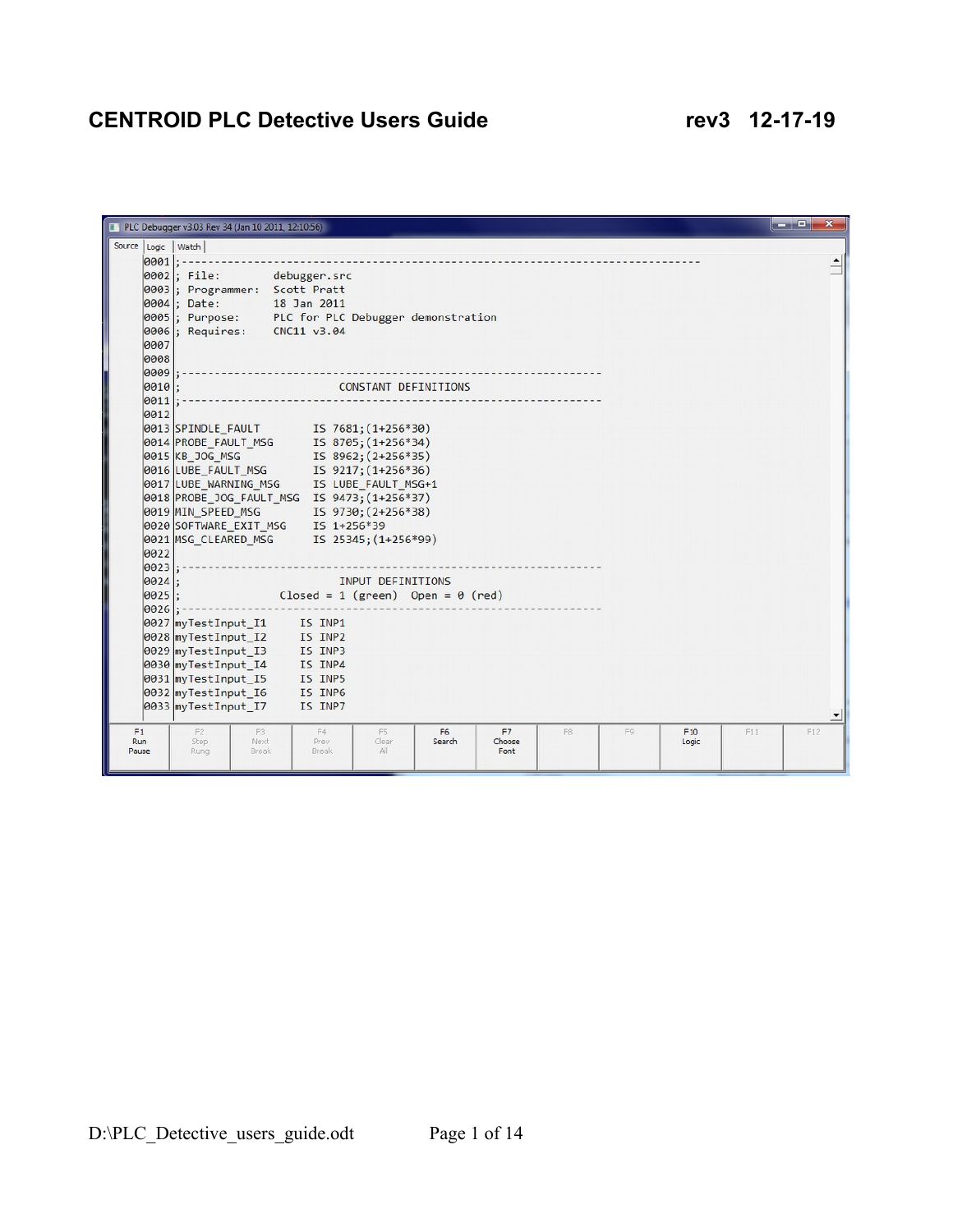## **CENTROID PLC Detective Users Guide 12-17-19**

|                    | PLC Debugger v3.03 Rev 34 (Jan 10 2011, 12:10:56)                               |                                          |                   |                          |                          |    |    |              |     | an Br<br>$\mathbf x$ |
|--------------------|---------------------------------------------------------------------------------|------------------------------------------|-------------------|--------------------------|--------------------------|----|----|--------------|-----|----------------------|
| Source Logic Watch |                                                                                 |                                          |                   |                          |                          |    |    |              |     |                      |
| $ 0001 $ ; -       |                                                                                 |                                          |                   |                          |                          |    |    |              |     |                      |
|                    | 0002; File: debugger.src                                                        |                                          |                   |                          |                          |    |    |              |     |                      |
|                    | 0003; Programmer: Scott Pratt                                                   |                                          |                   |                          |                          |    |    |              |     |                      |
|                    | 0004; Date:                                                                     | 18 Jan 2011                              |                   |                          |                          |    |    |              |     |                      |
|                    | 0005; Purpose: PLC for PLC Debugger demonstration                               |                                          |                   |                          |                          |    |    |              |     |                      |
|                    | 0006 ; Requires: CNC11 v3.04                                                    |                                          |                   |                          |                          |    |    |              |     |                      |
| 0007               |                                                                                 |                                          |                   |                          |                          |    |    |              |     |                      |
| 0008               |                                                                                 |                                          |                   |                          |                          |    |    |              |     |                      |
| 0009               |                                                                                 |                                          |                   |                          |                          |    |    |              |     |                      |
| 0010:              |                                                                                 |                                          |                   | CONSTANT DEFINITIONS     |                          |    |    |              |     |                      |
| 0011               |                                                                                 |                                          |                   |                          |                          |    |    |              |     |                      |
| 0012               | 0013 SPINDLE FAULT IS 7681; (1+256*30)                                          |                                          |                   |                          |                          |    |    |              |     |                      |
|                    | 0014 PROBE_FAULT_MSG IS 8705; (1+256*34)                                        |                                          |                   |                          |                          |    |    |              |     |                      |
|                    | 0015 KB JOG MSG                                                                 | $IS 8962; (2+256*35)$                    |                   |                          |                          |    |    |              |     |                      |
|                    | 0016 LUBE_FAULT_MSG 15 9217; (1+256*36)                                         |                                          |                   |                          |                          |    |    |              |     |                      |
|                    | 0017 LUBE_WARNING_MSG IS LUBE_FAULT_MSG+1                                       |                                          |                   |                          |                          |    |    |              |     |                      |
|                    | 0018 PROBE_JOG_FAULT_MSG IS 9473; (1+256*37)                                    |                                          |                   |                          |                          |    |    |              |     |                      |
|                    |                                                                                 |                                          |                   |                          |                          |    |    |              |     |                      |
|                    | 0019 MIN_SPEED_MSG    IS 9730;(2+256*38)<br>0020 SOFTWARE_EXIT_MSG  IS 1+256*39 |                                          |                   |                          |                          |    |    |              |     |                      |
|                    |                                                                                 |                                          |                   |                          |                          |    |    |              |     |                      |
| 0022               |                                                                                 |                                          |                   |                          |                          |    |    |              |     |                      |
| 0023:              |                                                                                 |                                          |                   |                          |                          |    |    |              |     |                      |
| 0024               |                                                                                 |                                          | INPUT DEFINITIONS |                          |                          |    |    |              |     |                      |
| $0025$ :           |                                                                                 | Closed = 1 (green) Open = $\theta$ (red) |                   |                          |                          |    |    |              |     |                      |
| $0026$ : -         |                                                                                 |                                          |                   |                          |                          |    |    |              |     |                      |
|                    | 0027 myTestInput_I1                                                             | IS INP1<br>IS INP2                       |                   |                          |                          |    |    |              |     |                      |
|                    | 0028 myTestInput I2<br>0029 myTestInput I3                                      | IS INP3                                  |                   |                          |                          |    |    |              |     |                      |
|                    | 0030 myTestInput I4                                                             | IS INP4                                  |                   |                          |                          |    |    |              |     |                      |
|                    | 0031 myTestInput I5                                                             |                                          |                   |                          |                          |    |    |              |     |                      |
|                    | 0032 myTestInput I6                                                             |                                          |                   |                          |                          |    |    |              |     |                      |
|                    | 0033 myTestInput I7                                                             | IS INP5<br>IS INP6<br>IS INP7<br>IS INP7 |                   |                          |                          |    |    |              |     |                      |
|                    |                                                                                 |                                          |                   |                          |                          |    |    |              |     |                      |
| F1<br>Run          | F <sub>2</sub><br>F3<br>Step<br>Next                                            | F4<br>Prev                               | F5<br>Clear       | F <sub>6</sub><br>Search | F <sub>7</sub><br>Choose | F8 | F9 | F10<br>Logic | F11 | F12                  |
| Pause              | Break<br>Rung                                                                   | Break                                    | All               |                          | Font                     |    |    |              |     |                      |
|                    |                                                                                 |                                          |                   |                          |                          |    |    |              |     |                      |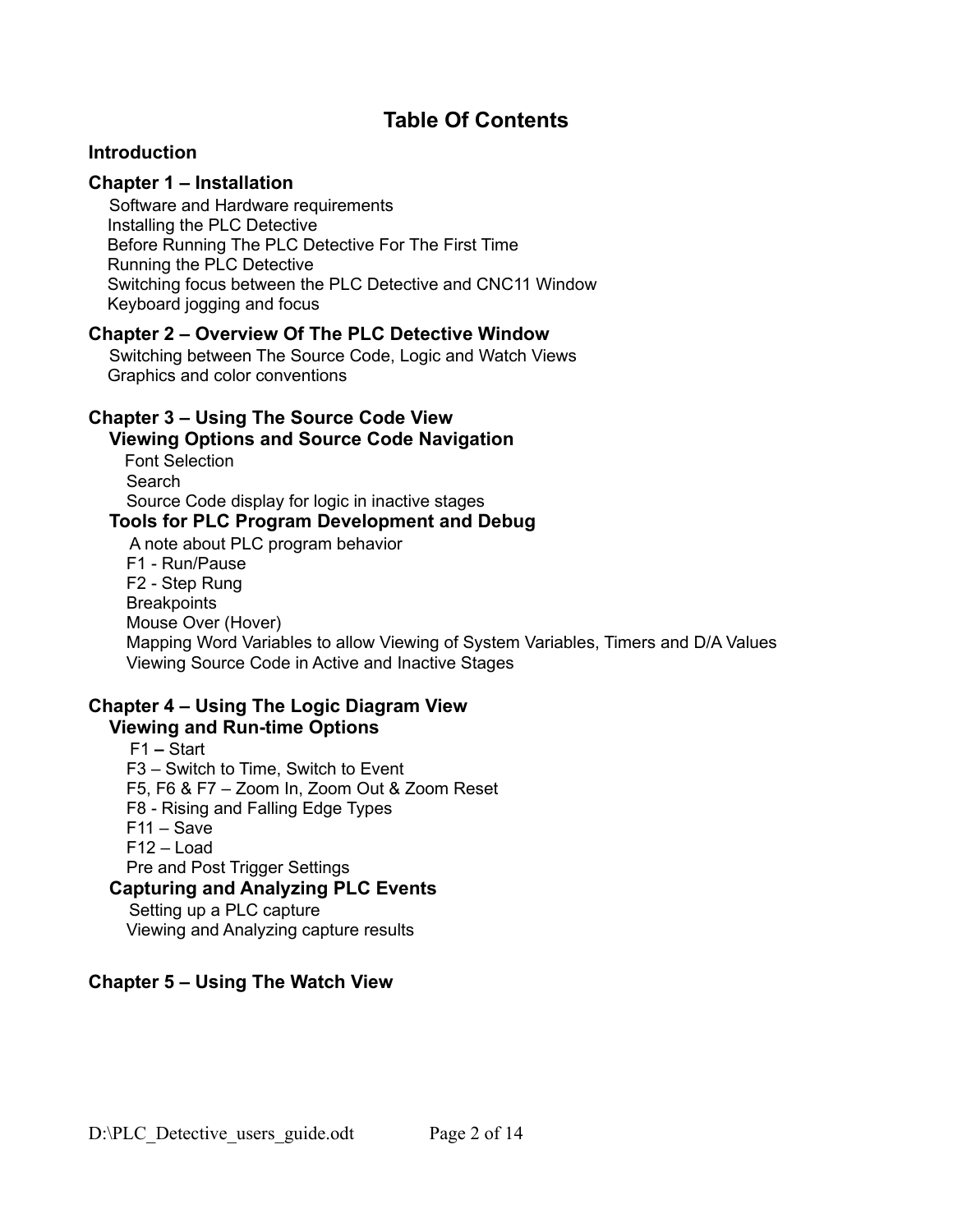## **Table Of Contents**

### **Introduction**

### **Chapter 1 – Installation**

Software and Hardware requirements Installing the PLC Detective Before Running The PLC Detective For The First Time Running the PLC Detective Switching focus between the PLC Detective and CNC11 Window Keyboard jogging and focus

#### **Chapter 2 – Overview Of The PLC Detective Window**

Switching between The Source Code, Logic and Watch Views Graphics and color conventions

## **Chapter 3 – Using The Source Code View**

#### **Viewing Options and Source Code Navigation**

**Font Selection**  Search Source Code display for logic in inactive stages

## **Tools for PLC Program Development and Debug**

A note about PLC program behavior F1 - Run/Pause F2 - Step Rung **Breakpoints**  Mouse Over (Hover) Mapping Word Variables to allow Viewing of System Variables, Timers and D/A Values Viewing Source Code in Active and Inactive Stages

## **Chapter 4 – Using The Logic Diagram View**

### **Viewing and Run-time Options**

F1 **–** Start F3 – Switch to Time, Switch to Event F5, F6 & F7 – Zoom In, Zoom Out & Zoom Reset F8 - Rising and Falling Edge Types  $F11 - Save$  F12 – Load Pre and Post Trigger Settings **Capturing and Analyzing PLC Events** Setting up a PLC capture Viewing and Analyzing capture results

## **Chapter 5 – Using The Watch View**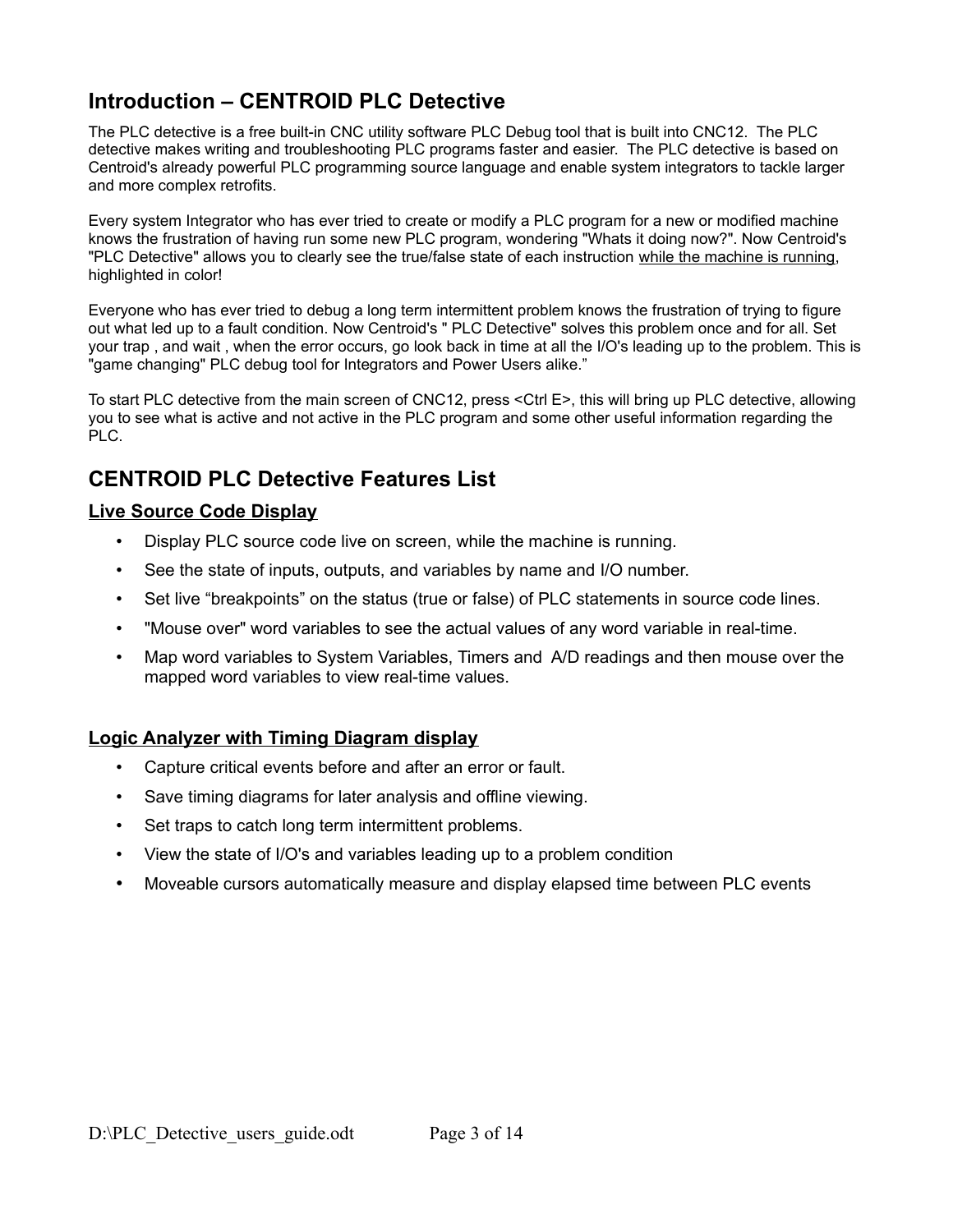## **Introduction – CENTROID PLC Detective**

The PLC detective is a free built-in CNC utility software PLC Debug tool that is built into CNC12. The PLC detective makes writing and troubleshooting PLC programs faster and easier. The PLC detective is based on Centroid's already powerful PLC programming source language and enable system integrators to tackle larger and more complex retrofits.

Every system Integrator who has ever tried to create or modify a PLC program for a new or modified machine knows the frustration of having run some new PLC program, wondering "Whats it doing now?". Now Centroid's "PLC Detective" allows you to clearly see the true/false state of each instruction while the machine is running, highlighted in color!

Everyone who has ever tried to debug a long term intermittent problem knows the frustration of trying to figure out what led up to a fault condition. Now Centroid's " PLC Detective" solves this problem once and for all. Set your trap , and wait , when the error occurs, go look back in time at all the I/O's leading up to the problem. This is "game changing" PLC debug tool for Integrators and Power Users alike."

To start PLC detective from the main screen of CNC12, press <Ctrl E>, this will bring up PLC detective, allowing you to see what is active and not active in the PLC program and some other useful information regarding the PLC.

## **CENTROID PLC Detective Features List**

### **Live Source Code Display**

- Display PLC source code live on screen, while the machine is running.
- See the state of inputs, outputs, and variables by name and I/O number.
- Set live "breakpoints" on the status (true or false) of PLC statements in source code lines.
- "Mouse over" word variables to see the actual values of any word variable in real-time.
- Map word variables to System Variables, Timers and A/D readings and then mouse over the mapped word variables to view real-time values.

### **Logic Analyzer with Timing Diagram display**

- Capture critical events before and after an error or fault.
- Save timing diagrams for later analysis and offline viewing.
- Set traps to catch long term intermittent problems.
- View the state of I/O's and variables leading up to a problem condition
- Moveable cursors automatically measure and display elapsed time between PLC events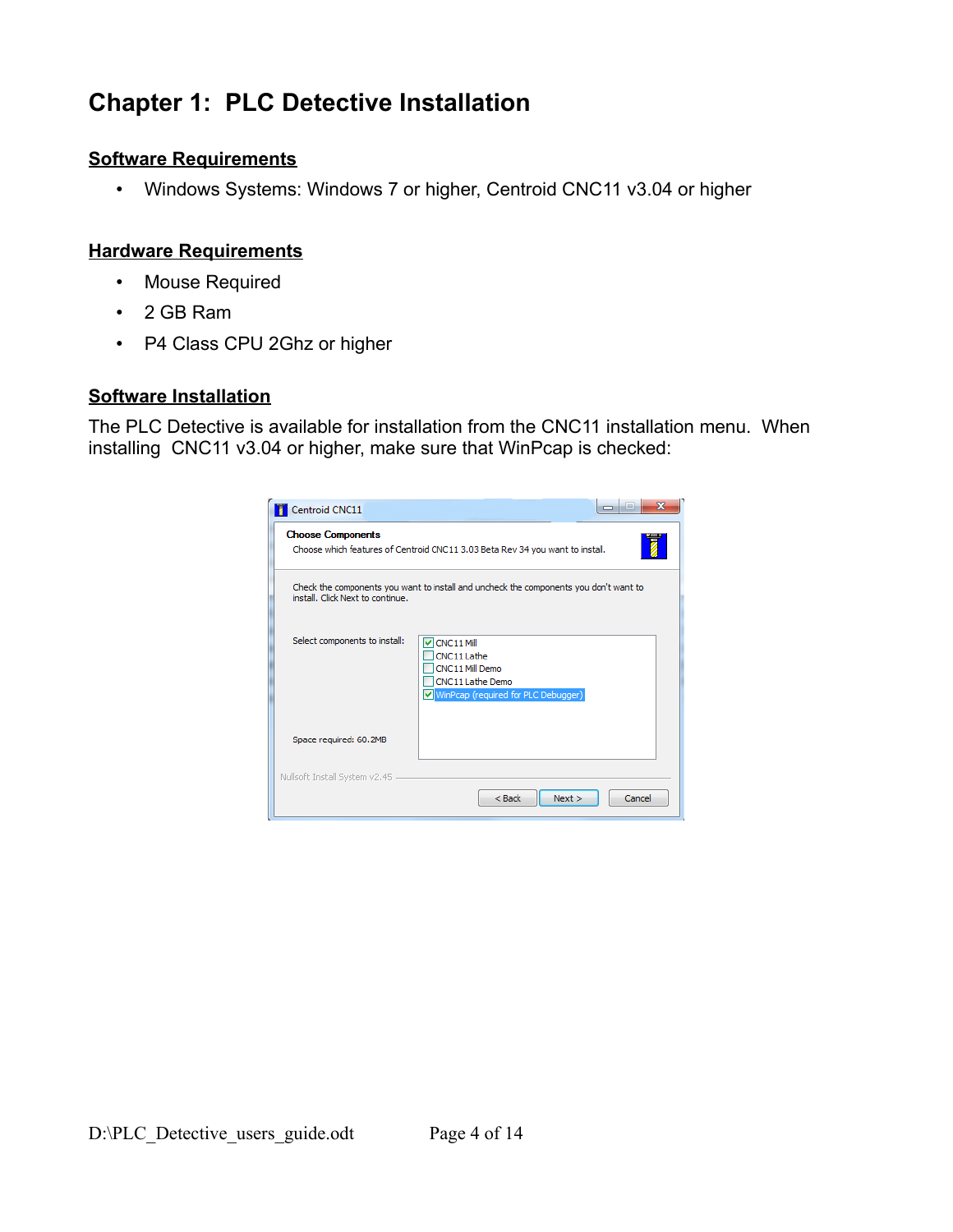# **Chapter 1: PLC Detective Installation**

## **Software Requirements**

• Windows Systems: Windows 7 or higher, Centroid CNC11 v3.04 or higher

## **Hardware Requirements**

- Mouse Required
- 2 GB Ram
- P4 Class CPU 2Ghz or higher

## **Software Installation**

The PLC Detective is available for installation from the CNC11 installation menu. When installing CNC11 v3.04 or higher, make sure that WinPcap is checked:

| Centroid CNC11<br><b>Choose Components</b>                                                                                | Ж                                                                                                                       |  |  |  |  |  |  |  |  |  |
|---------------------------------------------------------------------------------------------------------------------------|-------------------------------------------------------------------------------------------------------------------------|--|--|--|--|--|--|--|--|--|
| Choose which features of Centroid CNC11 3.03 Beta Rev 34 you want to install.                                             |                                                                                                                         |  |  |  |  |  |  |  |  |  |
| Check the components you want to install and uncheck the components you don't want to<br>install. Click Next to continue. |                                                                                                                         |  |  |  |  |  |  |  |  |  |
| Select components to install:                                                                                             | $\triangledown$ CNC11 Mill<br>CNC11 Lathe<br>CNC11 Mill Demo<br>CNC11 Lathe Demo<br>WinPcap (required for PLC Debugger) |  |  |  |  |  |  |  |  |  |
| Space required: 60.2MB                                                                                                    |                                                                                                                         |  |  |  |  |  |  |  |  |  |
| Nullsoft Install System v2.45                                                                                             | $<$ Back<br>Next<br>Cancel                                                                                              |  |  |  |  |  |  |  |  |  |
|                                                                                                                           |                                                                                                                         |  |  |  |  |  |  |  |  |  |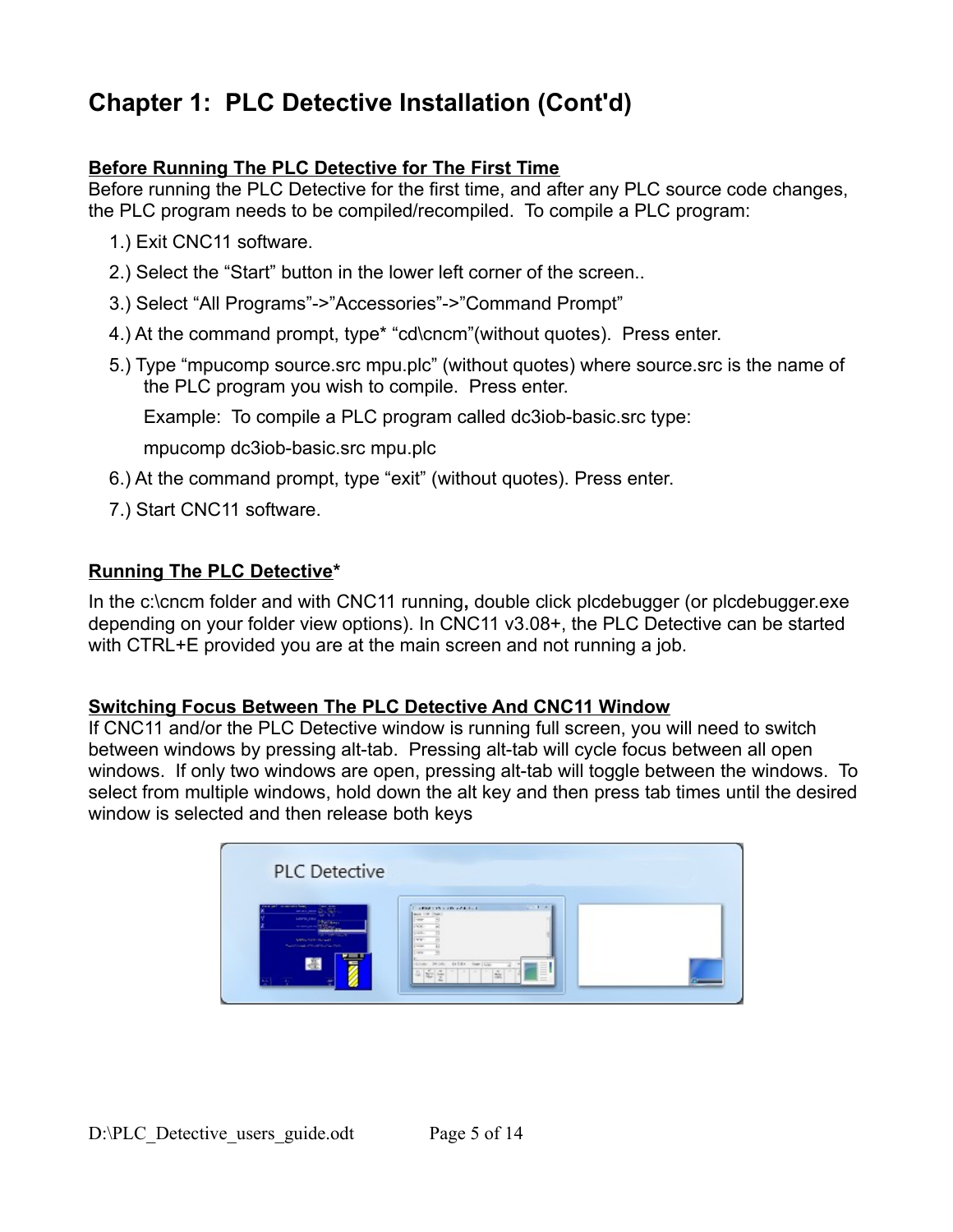# **Chapter 1: PLC Detective Installation (Cont'd)**

## **Before Running The PLC Detective for The First Time**

Before running the PLC Detective for the first time, and after any PLC source code changes, the PLC program needs to be compiled/recompiled. To compile a PLC program:

- 1.) Exit CNC11 software.
- 2.) Select the "Start" button in the lower left corner of the screen..
- 3.) Select "All Programs"->"Accessories"->"Command Prompt"
- 4.) At the command prompt, type\* "cd\cncm"(without quotes). Press enter.
- 5.) Type "mpucomp source.src mpu.plc" (without quotes) where source.src is the name of the PLC program you wish to compile. Press enter.

Example: To compile a PLC program called dc3iob-basic.src type:

mpucomp dc3iob-basic.src mpu.plc

- 6.) At the command prompt, type "exit" (without quotes). Press enter.
- 7.) Start CNC11 software.

## **Running The PLC Detective\***

In the c:\cncm folder and with CNC11 running**,** double click plcdebugger (or plcdebugger.exe depending on your folder view options). In CNC11 v3.08+, the PLC Detective can be started with CTRL+E provided you are at the main screen and not running a job.

### **Switching Focus Between The PLC Detective And CNC11 Window**

If CNC11 and/or the PLC Detective window is running full screen, you will need to switch between windows by pressing alt-tab. Pressing alt-tab will cycle focus between all open windows. If only two windows are open, pressing alt-tab will toggle between the windows. To select from multiple windows, hold down the alt key and then press tab times until the desired window is selected and then release both keys

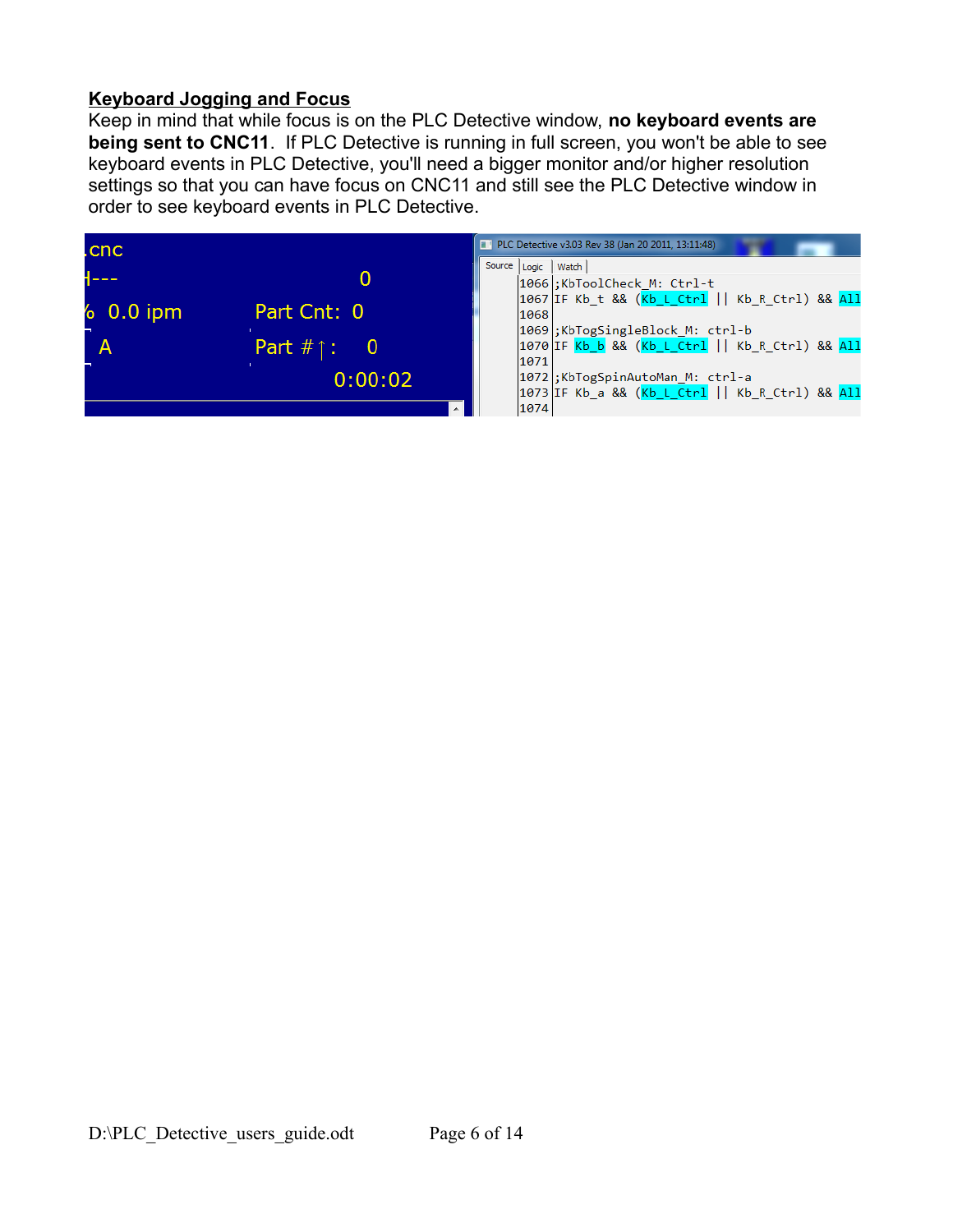## **Keyboard Jogging and Focus**

Keep in mind that while focus is on the PLC Detective window, **no keyboard events are being sent to CNC11**. If PLC Detective is running in full screen, you won't be able to see keyboard events in PLC Detective, you'll need a bigger monitor and/or higher resolution settings so that you can have focus on CNC11 and still see the PLC Detective window in order to see keyboard events in PLC Detective.

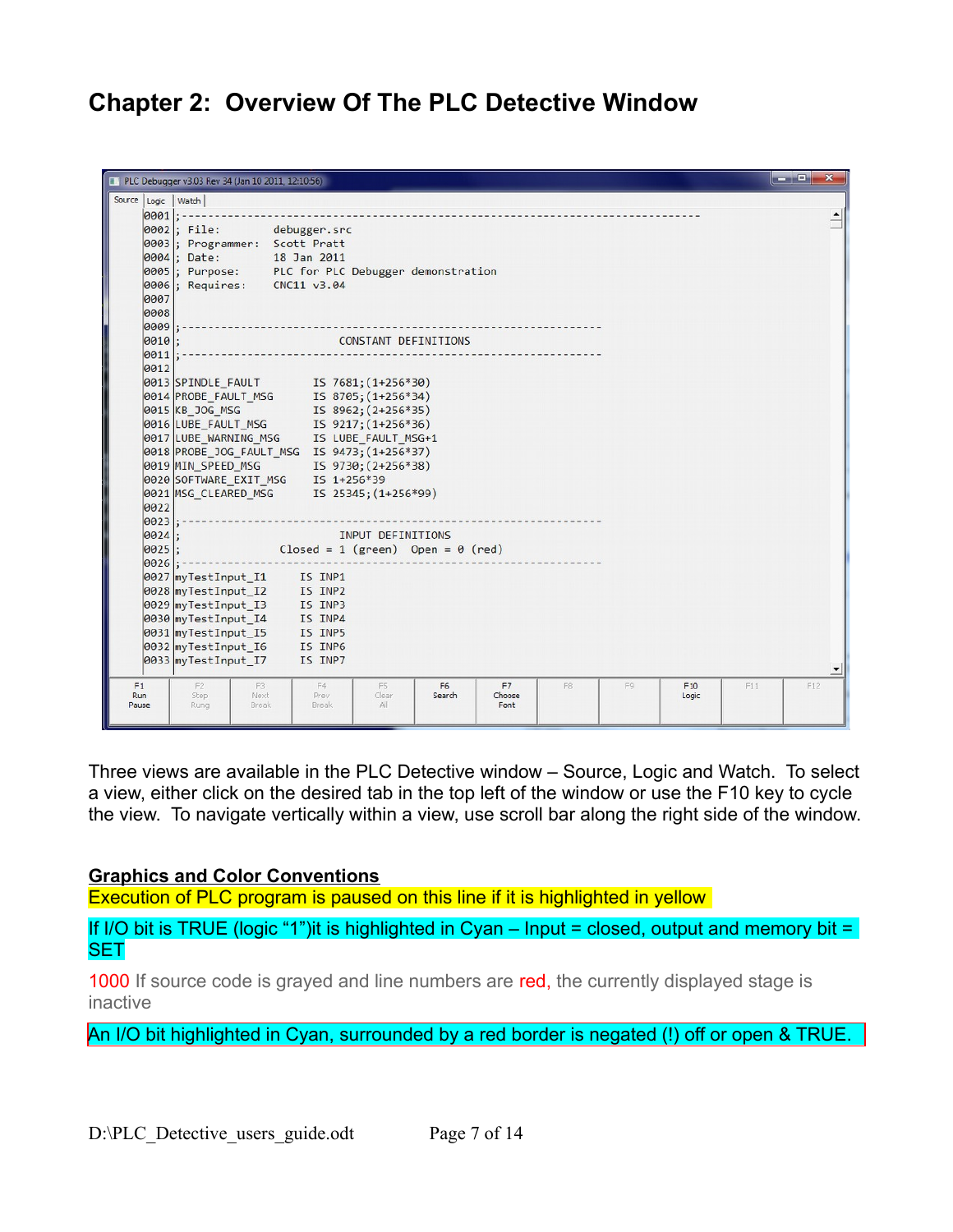## **Chapter 2: Overview Of The PLC Detective Window**

|                              | PLC Debugger v3.03 Rev 34 (Jan 10 2011, 12:10:56)                                                                                                                                                     |                                                                                                                                                                                                                                                                                                                                                                                                                       |                    |                          |                      |    |    |              |     | $-$ 0<br>$\mathbf{x}$ |
|------------------------------|-------------------------------------------------------------------------------------------------------------------------------------------------------------------------------------------------------|-----------------------------------------------------------------------------------------------------------------------------------------------------------------------------------------------------------------------------------------------------------------------------------------------------------------------------------------------------------------------------------------------------------------------|--------------------|--------------------------|----------------------|----|----|--------------|-----|-----------------------|
| Source Logic   Watch         |                                                                                                                                                                                                       |                                                                                                                                                                                                                                                                                                                                                                                                                       |                    |                          |                      |    |    |              |     |                       |
| $ 0001 $ : -<br>0007<br>0008 | $ 0002 $ ; File:<br>0003; Programmer: Scott Pratt                                                                                                                                                     | debugger.src<br>0004; Date: 18 Jan 2011<br>0005; Purpose: PLC for PLC Debugger demonstration<br>0006; Requires: CNC11 v3.04                                                                                                                                                                                                                                                                                           |                    |                          |                      |    |    |              |     |                       |
| 0009                         |                                                                                                                                                                                                       |                                                                                                                                                                                                                                                                                                                                                                                                                       |                    |                          |                      |    |    |              |     |                       |
| $ 0010 $ :<br> 0011          |                                                                                                                                                                                                       |                                                                                                                                                                                                                                                                                                                                                                                                                       |                    | CONSTANT DEFINITIONS     |                      |    |    |              |     |                       |
| 0012<br>0022<br>$ 0023 $ :   |                                                                                                                                                                                                       | 0013 SPINDLE FAULT IS 7681; (1+256*30)<br>0013 STATUSE NULL MSG<br>0014 PROBE_FAULT_MSG<br>0015 KB_JOG_MSG<br>15 8962; (2+256*35)<br>0016 LUBE_FAULT_MSG 15 9217; (1+256*36)<br>0017 LUBE_WARNING_MSG IS LUBE_FAULT_MSG+1<br>0018 PROBE JOG FAULT MSG IS 9473; (1+256*37)<br>0019 MIN_SPEED_MSG          IS  9730; (2+256*38)<br>0020 SOFTWARE_EXIT_MSG     IS  1+256*39<br>0021 MSG_CLEARED_MSG TS 25345; (1+256*99) |                    |                          |                      |    |    |              |     |                       |
| $ 0024 $ ;                   |                                                                                                                                                                                                       |                                                                                                                                                                                                                                                                                                                                                                                                                       | INPUT DEFINITIONS  |                          |                      |    |    |              |     |                       |
| 0025 <br>$ 0026 $ :          |                                                                                                                                                                                                       | Closed = $1$ (green) Open = $\theta$ (red)                                                                                                                                                                                                                                                                                                                                                                            |                    |                          |                      |    |    |              |     |                       |
|                              | 0027 myTestInput_I1 IS INP1<br>0028 myTestInput_I2 IS INP2<br>0029 myTestInput_I3 IS INP3<br>0030 myTestInput_I4 IS INP4<br>0031 myTestInput_I5 IS INP5<br>0032 myTestInput_I6<br>0033 myTestInput I7 | IS INP6<br>IS INP7<br>IS INP7                                                                                                                                                                                                                                                                                                                                                                                         |                    |                          |                      |    |    |              |     |                       |
| F1<br><b>Run</b><br>Pause    | F <sub>2</sub><br>Step<br>Rung                                                                                                                                                                        | F3<br>F4<br>Prev<br>Next<br>Break<br>Break                                                                                                                                                                                                                                                                                                                                                                            | F5<br>Clear<br>All | F <sub>6</sub><br>Search | F7<br>Choose<br>Font | F8 | F9 | F10<br>Logic | F11 | F12                   |

Three views are available in the PLC Detective window – Source, Logic and Watch. To select a view, either click on the desired tab in the top left of the window or use the F10 key to cycle the view. To navigate vertically within a view, use scroll bar along the right side of the window.

### **Graphics and Color Conventions**

Execution of PLC program is paused on this line if it is highlighted in yellow

If I/O bit is TRUE (logic "1")it is highlighted in Cyan – Input = closed, output and memory bit = **SET** 

1000 If source code is grayed and line numbers are red, the currently displayed stage is inactive

An I/O bit highlighted in Cyan, surrounded by a red border is negated (!) off or open & TRUE.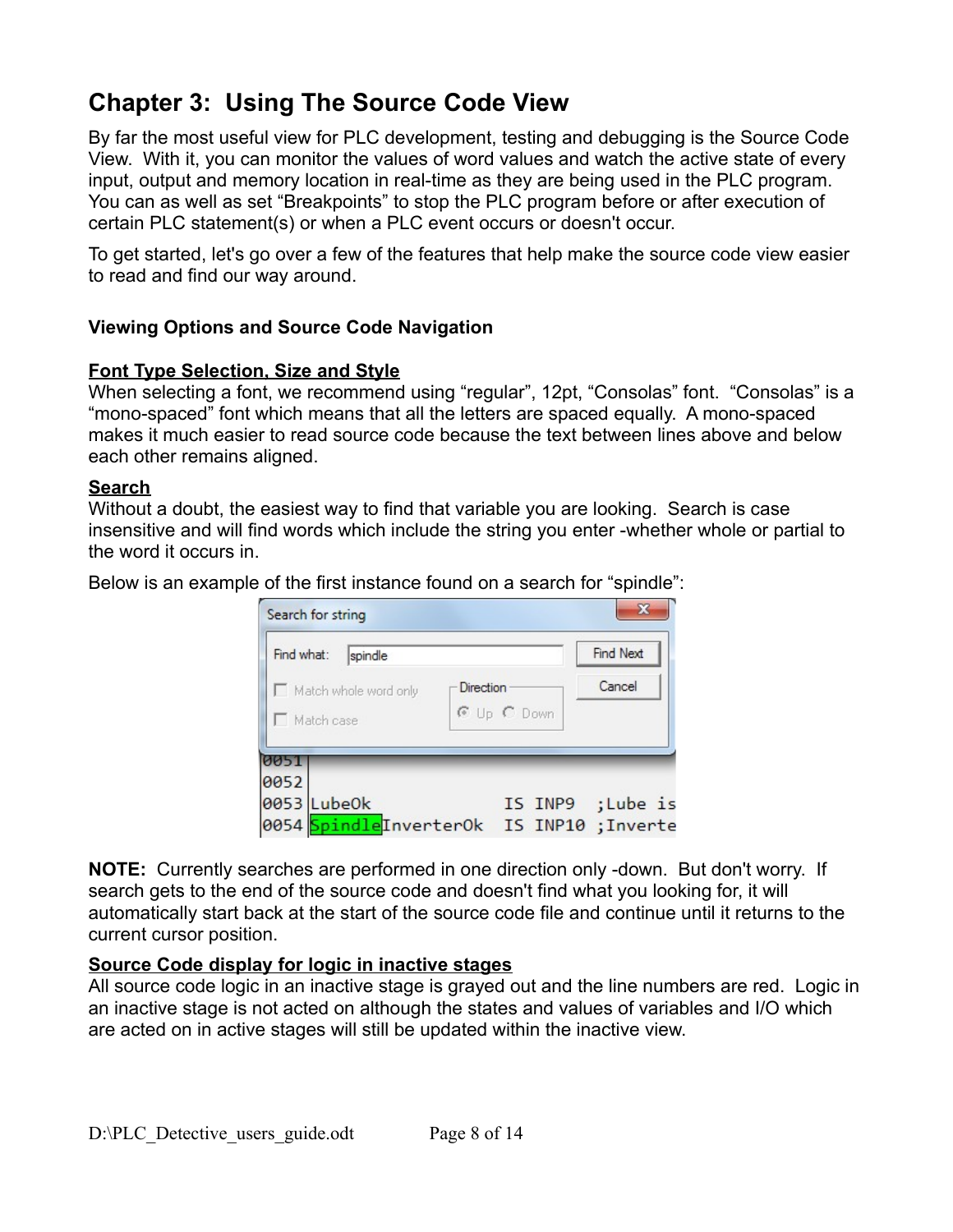# **Chapter 3: Using The Source Code View**

By far the most useful view for PLC development, testing and debugging is the Source Code View. With it, you can monitor the values of word values and watch the active state of every input, output and memory location in real-time as they are being used in the PLC program. You can as well as set "Breakpoints" to stop the PLC program before or after execution of certain PLC statement(s) or when a PLC event occurs or doesn't occur.

To get started, let's go over a few of the features that help make the source code view easier to read and find our way around.

## **Viewing Options and Source Code Navigation**

## **Font Type Selection, Size and Style**

When selecting a font, we recommend using "regular", 12pt, "Consolas" font. "Consolas" is a "mono-spaced" font which means that all the letters are spaced equally. A mono-spaced makes it much easier to read source code because the text between lines above and below each other remains aligned.

### **Search**

Without a doubt, the easiest way to find that variable you are looking. Search is case insensitive and will find words which include the string you enter -whether whole or partial to the word it occurs in.

Below is an example of the first instance found on a search for "spindle":

| Find what:                          |  | spindle |           |             | <b>Find Next</b>                                      |  |  |
|-------------------------------------|--|---------|-----------|-------------|-------------------------------------------------------|--|--|
| Match whole word only<br>Match case |  |         | Direction | © Up C Down | Cancel                                                |  |  |
| 0051<br>0052                        |  |         |           |             |                                                       |  |  |
| 0053 Lube0k                         |  |         |           | IS INP9     | ;Lube is<br>0054 SpindleInverterOk IS INP10 ; Inverte |  |  |

**NOTE:** Currently searches are performed in one direction only -down. But don't worry. If search gets to the end of the source code and doesn't find what you looking for, it will automatically start back at the start of the source code file and continue until it returns to the current cursor position.

### **Source Code display for logic in inactive stages**

All source code logic in an inactive stage is grayed out and the line numbers are red. Logic in an inactive stage is not acted on although the states and values of variables and I/O which are acted on in active stages will still be updated within the inactive view.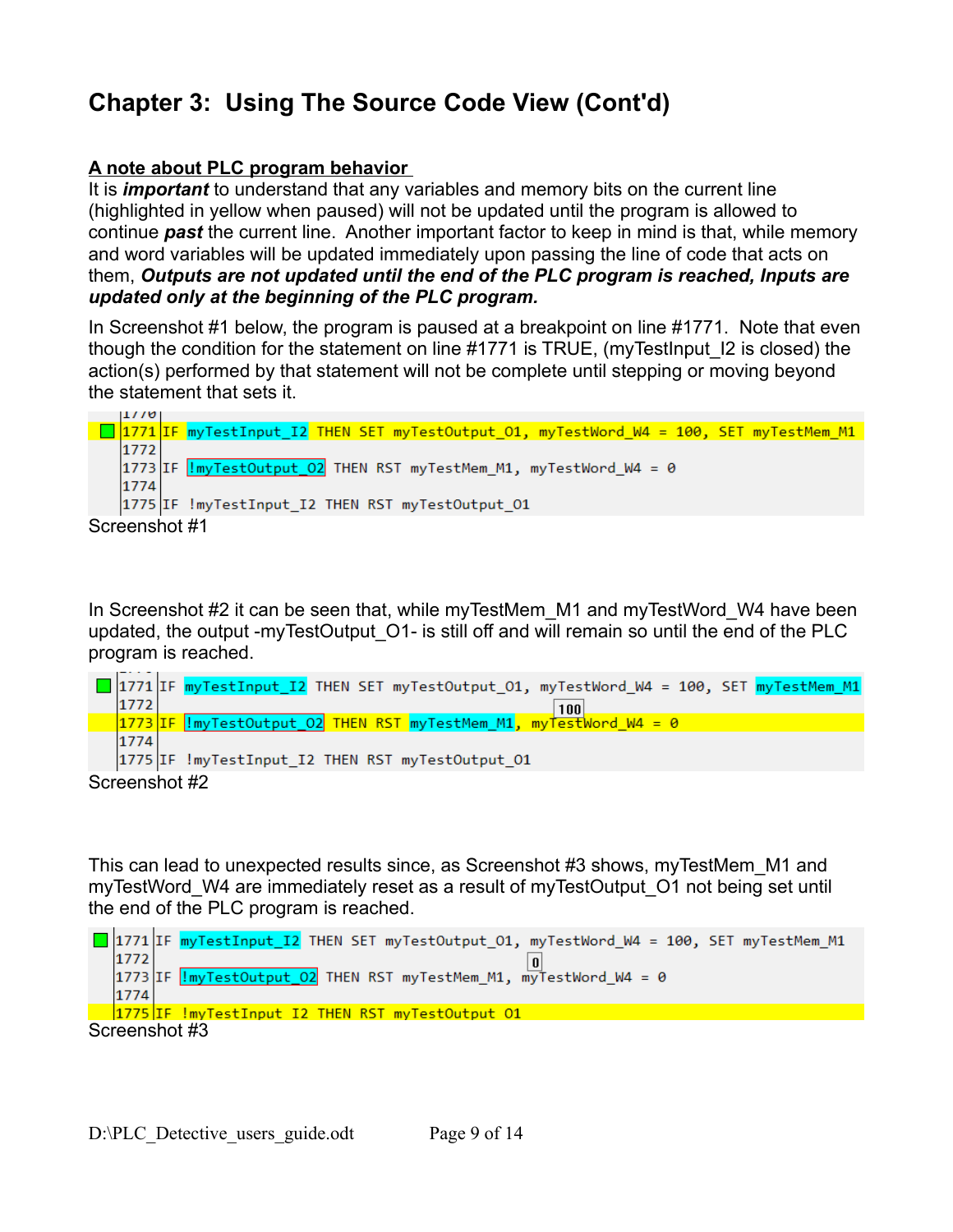# **Chapter 3: Using The Source Code View (Cont'd)**

## **A note about PLC program behavior**

It is *important* to understand that any variables and memory bits on the current line (highlighted in yellow when paused) will not be updated until the program is allowed to continue *past* the current line. Another important factor to keep in mind is that, while memory and word variables will be updated immediately upon passing the line of code that acts on them, *Outputs are not updated until the end of the PLC program is reached, Inputs are updated only at the beginning of the PLC program.* 

In Screenshot #1 below, the program is paused at a breakpoint on line #1771. Note that even though the condition for the statement on line #1771 is TRUE, (myTestInput\_I2 is closed) the action(s) performed by that statement will not be complete until stepping or moving beyond the statement that sets it.



In Screenshot #2 it can be seen that, while myTestMem M1 and myTestWord W4 have been updated, the output -myTestOutput\_O1- is still off and will remain so until the end of the PLC program is reached.



This can lead to unexpected results since, as Screenshot #3 shows, myTestMem\_M1 and myTestWord W4 are immediately reset as a result of myTestOutput O1 not being set until the end of the PLC program is reached.

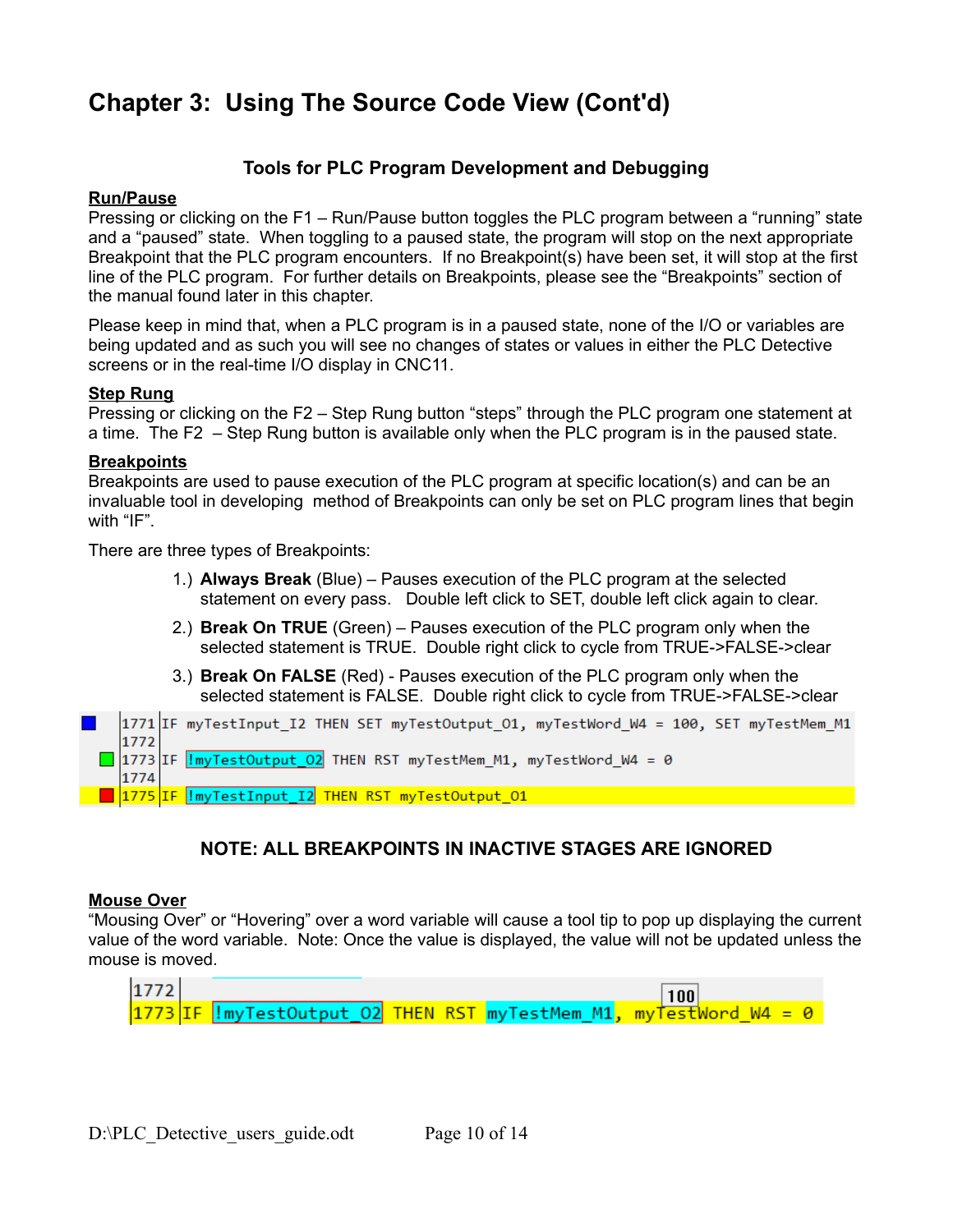## **Chapter 3: Using The Source Code View (Cont'd)**

### **Tools for PLC Program Development and Debugging**

#### **Run/Pause**

Pressing or clicking on the F1 – Run/Pause button toggles the PLC program between a "running" state and a "paused" state. When toggling to a paused state, the program will stop on the next appropriate Breakpoint that the PLC program encounters. If no Breakpoint(s) have been set, it will stop at the first line of the PLC program. For further details on Breakpoints, please see the "Breakpoints" section of the manual found later in this chapter.

Please keep in mind that, when a PLC program is in a paused state, none of the I/O or variables are being updated and as such you will see no changes of states or values in either the PLC Detective screens or in the real-time I/O display in CNC11.

#### **Step Rung**

Pressing or clicking on the F2 – Step Rung button "steps" through the PLC program one statement at a time. The F2 – Step Rung button is available only when the PLC program is in the paused state.

#### **Breakpoints**

Breakpoints are used to pause execution of the PLC program at specific location(s) and can be an invaluable tool in developing method of Breakpoints can only be set on PLC program lines that begin with "IF".

There are three types of Breakpoints:

- 1.) **Always Break** (Blue) Pauses execution of the PLC program at the selected statement on every pass. Double left click to SET, double left click again to clear.
- 2.) **Break On TRUE** (Green) Pauses execution of the PLC program only when the selected statement is TRUE. Double right click to cycle from TRUE->FALSE->clear
- 3.) **Break On FALSE** (Red) Pauses execution of the PLC program only when the selected statement is FALSE. Double right click to cycle from TRUE->FALSE->clear



## **NOTE: ALL BREAKPOINTS IN INACTIVE STAGES ARE IGNORED**

#### **Mouse Over**

"Mousing Over" or "Hovering" over a word variable will cause a tool tip to pop up displaying the current value of the word variable. Note: Once the value is displayed, the value will not be updated unless the mouse is moved.

| $1772$ |  |  | 100                                                                               |
|--------|--|--|-----------------------------------------------------------------------------------|
|        |  |  | $\sqrt{1773\text{ IF}}$ !myTestOutput O2 THEN RST myTestMem M1, myTestWord W4 = 0 |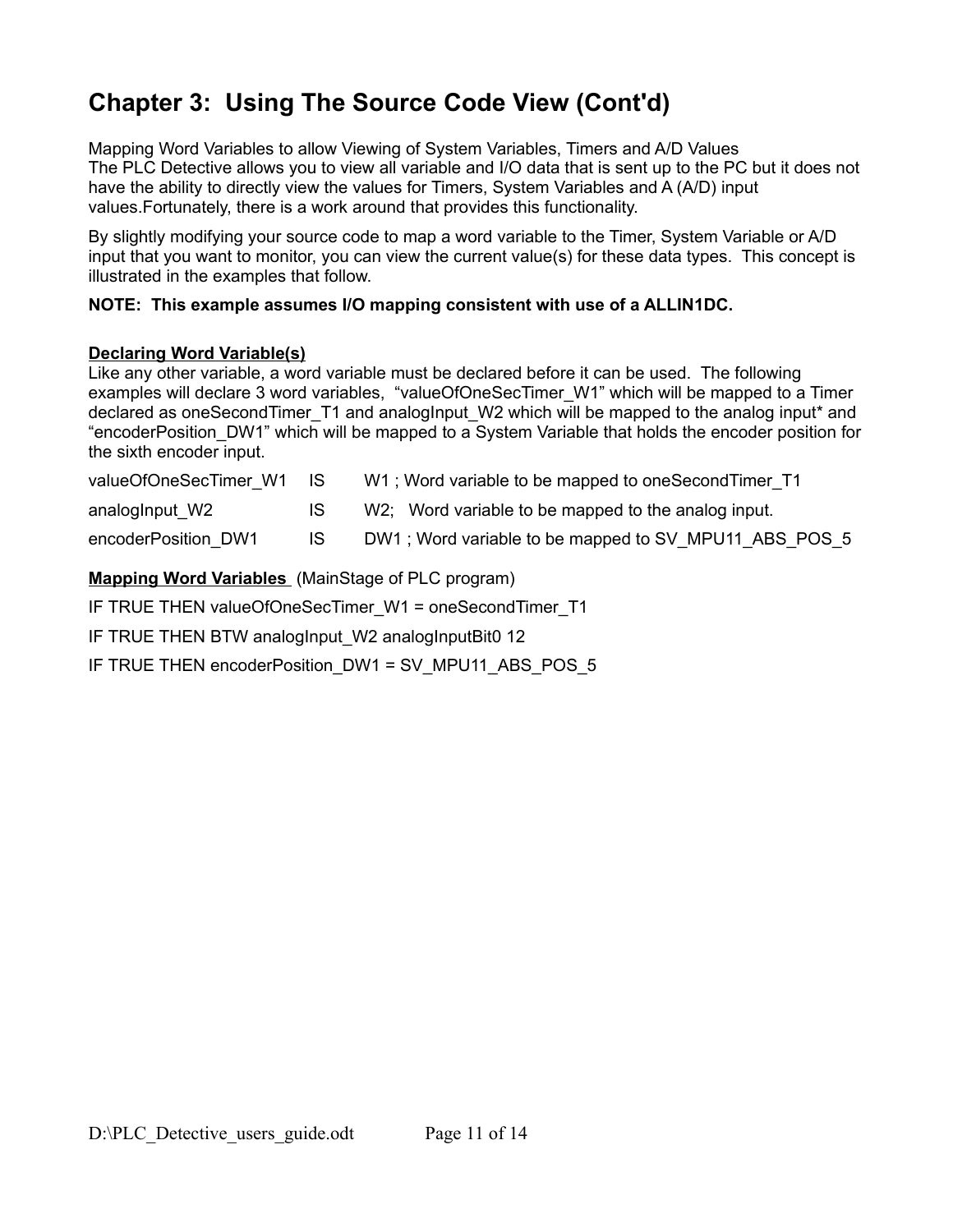# **Chapter 3: Using The Source Code View (Cont'd)**

Mapping Word Variables to allow Viewing of System Variables, Timers and A/D Values The PLC Detective allows you to view all variable and I/O data that is sent up to the PC but it does not have the ability to directly view the values for Timers, System Variables and A (A/D) input values.Fortunately, there is a work around that provides this functionality.

By slightly modifying your source code to map a word variable to the Timer, System Variable or A/D input that you want to monitor, you can view the current value(s) for these data types. This concept is illustrated in the examples that follow.

### **NOTE: This example assumes I/O mapping consistent with use of a ALLIN1DC.**

#### **Declaring Word Variable(s)**

Like any other variable, a word variable must be declared before it can be used. The following examples will declare 3 word variables, "valueOfOneSecTimer\_W1" which will be mapped to a Timer declared as oneSecondTimer T1 and analogInput W2 which will be mapped to the analog input<sup>\*</sup> and "encoderPosition\_DW1" which will be mapped to a System Variable that holds the encoder position for the sixth encoder input.

| valueOfOneSecTimer W1 IS |     | W1; Word variable to be mapped to oneSecondTimer T1   |
|--------------------------|-----|-------------------------------------------------------|
| analogInput W2           |     | W2; Word variable to be mapped to the analog input.   |
| encoderPosition DW1      | IS. | DW1; Word variable to be mapped to SV_MPU11 ABS POS 5 |

### **Mapping Word Variables** (MainStage of PLC program)

IF TRUE THEN valueOfOneSecTimer\_W1 = oneSecondTimer\_T1

IF TRUE THEN BTW analogInput W2 analogInputBit0 12

IF TRUE THEN encoderPosition\_DW1 = SV\_MPU11\_ABS\_POS\_5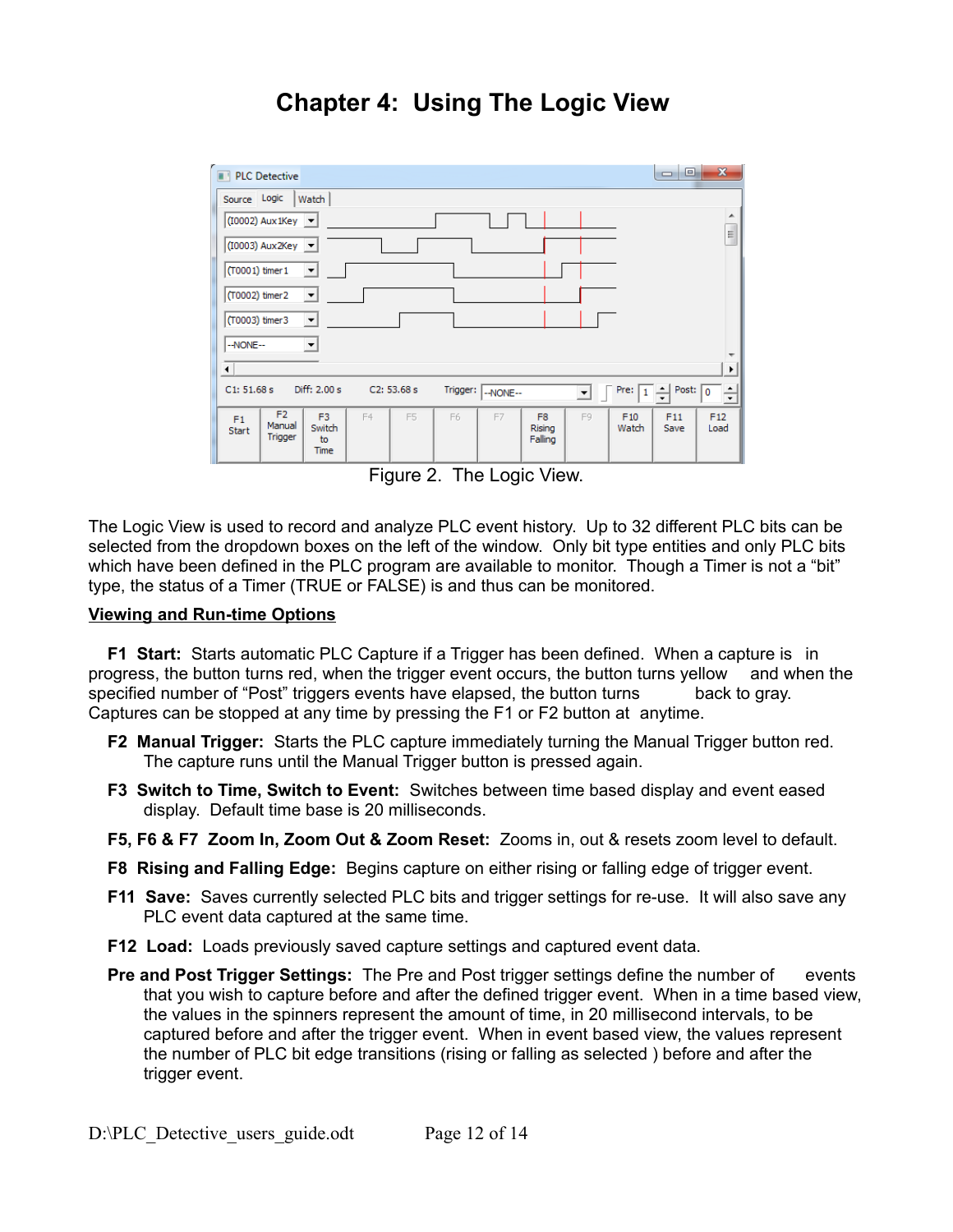## **Chapter 4: Using The Logic View**



Figure 2. The Logic View.

The Logic View is used to record and analyze PLC event history. Up to 32 different PLC bits can be selected from the dropdown boxes on the left of the window. Only bit type entities and only PLC bits which have been defined in the PLC program are available to monitor. Though a Timer is not a "bit" type, the status of a Timer (TRUE or FALSE) is and thus can be monitored.

#### **Viewing and Run-time Options**

**F1 Start:** Starts automatic PLC Capture if a Trigger has been defined. When a capture is in progress, the button turns red, when the trigger event occurs, the button turns yellow and when the specified number of "Post" triggers events have elapsed, the button turns back to gray. Captures can be stopped at any time by pressing the F1 or F2 button at anytime.

- **F2 Manual Trigger:** Starts the PLC capture immediately turning the Manual Trigger button red. The capture runs until the Manual Trigger button is pressed again.
- **F3 Switch to Time, Switch to Event:** Switches between time based display and event eased display. Default time base is 20 milliseconds.
- **F5, F6 & F7 Zoom In, Zoom Out & Zoom Reset:** Zooms in, out & resets zoom level to default.
- **F8 Rising and Falling Edge:** Begins capture on either rising or falling edge of trigger event.
- **F11 Save:** Saves currently selected PLC bits and trigger settings for re-use. It will also save any PLC event data captured at the same time.
- **F12 Load:** Loads previously saved capture settings and captured event data.
- **Pre and Post Trigger Settings:** The Pre and Post trigger settings define the number of events that you wish to capture before and after the defined trigger event. When in a time based view, the values in the spinners represent the amount of time, in 20 millisecond intervals, to be captured before and after the trigger event. When in event based view, the values represent the number of PLC bit edge transitions (rising or falling as selected ) before and after the trigger event.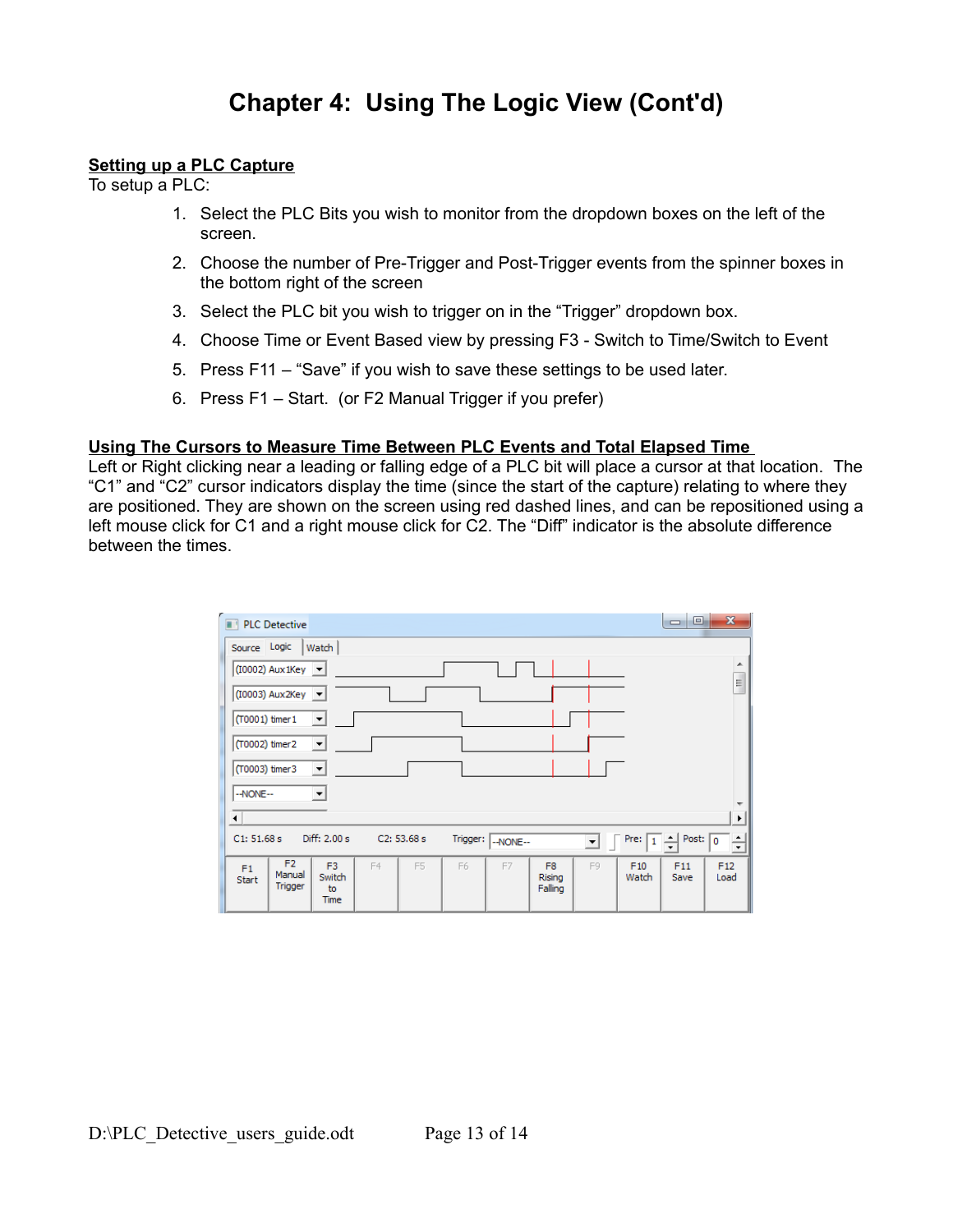## **Chapter 4: Using The Logic View (Cont'd)**

#### **Setting up a PLC Capture**

To setup a PLC:

- 1. Select the PLC Bits you wish to monitor from the dropdown boxes on the left of the screen.
- 2. Choose the number of Pre-Trigger and Post-Trigger events from the spinner boxes in the bottom right of the screen
- 3. Select the PLC bit you wish to trigger on in the "Trigger" dropdown box.
- 4. Choose Time or Event Based view by pressing F3 Switch to Time/Switch to Event
- 5. Press F11 "Save" if you wish to save these settings to be used later.
- 6. Press F1 Start. (or F2 Manual Trigger if you prefer)

#### **Using The Cursors to Measure Time Between PLC Events and Total Elapsed Time**

Left or Right clicking near a leading or falling edge of a PLC bit will place a cursor at that location. The "C1" and "C2" cursor indicators display the time (since the start of the capture) relating to where they are positioned. They are shown on the screen using red dashed lines, and can be repositioned using a left mouse click for C1 and a right mouse click for C2. The "Diff" indicator is the absolute difference between the times.

| $\mathbf{x}$<br>Θ.<br>$\qquad \qquad \blacksquare$<br><b>PLC Detective</b>                                                                                                                    |  |  |  |  |  |  |  |  |  |  |
|-----------------------------------------------------------------------------------------------------------------------------------------------------------------------------------------------|--|--|--|--|--|--|--|--|--|--|
| Source Logic<br>Watch                                                                                                                                                                         |  |  |  |  |  |  |  |  |  |  |
| ▲<br>$(10002)$ Aux 1Key $\vert \mathbf{v} \vert$                                                                                                                                              |  |  |  |  |  |  |  |  |  |  |
| Ξ<br>$(10003)$ Aux2Key $\vert \mathbf{v} \vert$                                                                                                                                               |  |  |  |  |  |  |  |  |  |  |
| (T0001) timer 1<br>$\blacktriangledown$                                                                                                                                                       |  |  |  |  |  |  |  |  |  |  |
| (T0002) timer2<br>$\blacktriangledown$                                                                                                                                                        |  |  |  |  |  |  |  |  |  |  |
| (T0003) timer3<br>$\blacktriangledown$                                                                                                                                                        |  |  |  |  |  |  |  |  |  |  |
| --NONE--<br>$\vert$                                                                                                                                                                           |  |  |  |  |  |  |  |  |  |  |
| $\leftarrow$<br>r                                                                                                                                                                             |  |  |  |  |  |  |  |  |  |  |
| Diff: 2.00 s<br>C1: 51.68 s<br>C2: 53.68 s<br>Post: $\boxed{0}$<br>Trigger:  <br>Pre:<br>≐<br>Ė<br>--NONE--<br>▾╎<br>$\overline{\phantom{a}}$                                                 |  |  |  |  |  |  |  |  |  |  |
| F <sub>2</sub><br>F <sub>3</sub><br>F5<br>F12<br>F4<br>F6<br>F7<br>F <sub>8</sub><br>F9<br>F10<br>F11<br>F1<br>Manual<br>Switch<br>Watch<br>Save<br>Load<br>Rising<br><b>Start</b><br>Trigger |  |  |  |  |  |  |  |  |  |  |
| Falling<br>to<br><b>Time</b>                                                                                                                                                                  |  |  |  |  |  |  |  |  |  |  |